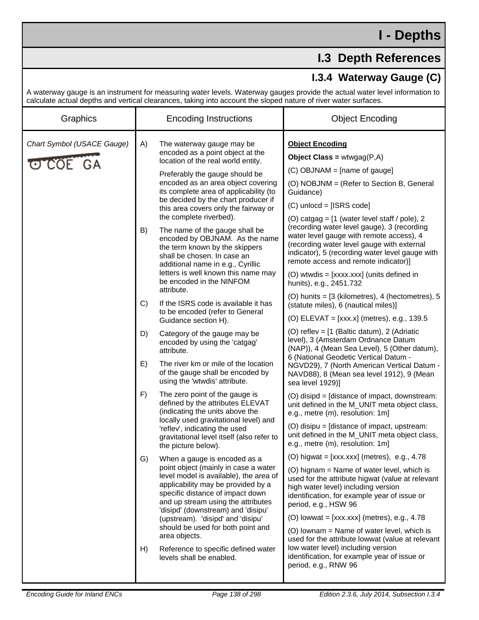## **I.3 Depth References**

## **I.3.4 Waterway Gauge (C)**

A waterway gauge is an instrument for measuring water levels. Waterway gauges provide the actual water level information to calculate actual depths and vertical clearances, taking into account the sloped nature of river water surfaces.

| Graphics                                      | <b>Encoding Instructions</b>                                                                                                                                                                                                                                                                                                                                                                                                                                                                                                                                                                                                                                                                                                                                                                                                                                                                                                                                                                                                                                                                                                                                                                                                                                                                                                                                                                                                                                                                                                                                                                                                           | <b>Object Encoding</b>                                                                                                                                                                                                                                                                                                                                                                                                                                                                                                                                                                                                                                                                                                                                                                                                                                                                                                                                                                                                                                                                                                                                                                                                                                                                                                                                                                                                                                                                                                                                                                                                                                                                                                                                                                                         |
|-----------------------------------------------|----------------------------------------------------------------------------------------------------------------------------------------------------------------------------------------------------------------------------------------------------------------------------------------------------------------------------------------------------------------------------------------------------------------------------------------------------------------------------------------------------------------------------------------------------------------------------------------------------------------------------------------------------------------------------------------------------------------------------------------------------------------------------------------------------------------------------------------------------------------------------------------------------------------------------------------------------------------------------------------------------------------------------------------------------------------------------------------------------------------------------------------------------------------------------------------------------------------------------------------------------------------------------------------------------------------------------------------------------------------------------------------------------------------------------------------------------------------------------------------------------------------------------------------------------------------------------------------------------------------------------------------|----------------------------------------------------------------------------------------------------------------------------------------------------------------------------------------------------------------------------------------------------------------------------------------------------------------------------------------------------------------------------------------------------------------------------------------------------------------------------------------------------------------------------------------------------------------------------------------------------------------------------------------------------------------------------------------------------------------------------------------------------------------------------------------------------------------------------------------------------------------------------------------------------------------------------------------------------------------------------------------------------------------------------------------------------------------------------------------------------------------------------------------------------------------------------------------------------------------------------------------------------------------------------------------------------------------------------------------------------------------------------------------------------------------------------------------------------------------------------------------------------------------------------------------------------------------------------------------------------------------------------------------------------------------------------------------------------------------------------------------------------------------------------------------------------------------|
| Chart Symbol (USACE Gauge)<br><b>U COE GA</b> | A)<br>The waterway gauge may be<br>encoded as a point object at the<br>location of the real world entity.<br>Preferably the gauge should be<br>encoded as an area object covering<br>its complete area of applicability (to<br>be decided by the chart producer if<br>this area covers only the fairway or<br>the complete riverbed).<br>B)<br>The name of the gauge shall be<br>encoded by OBJNAM. As the name<br>the term known by the skippers<br>shall be chosen. In case an<br>additional name in e.g., Cyrillic<br>letters is well known this name may<br>be encoded in the NINFOM<br>attribute.<br>C)<br>If the ISRS code is available it has<br>to be encoded (refer to General<br>Guidance section H).<br>D)<br>Category of the gauge may be<br>encoded by using the 'catgag'<br>attribute.<br>E)<br>The river km or mile of the location<br>of the gauge shall be encoded by<br>using the 'wtwdis' attribute.<br>F)<br>The zero point of the gauge is<br>defined by the attributes ELEVAT<br>(indicating the units above the<br>locally used gravitational level) and<br>'reflev', indicating the used<br>gravitational level itself (also refer to<br>the picture below).<br>G)<br>When a gauge is encoded as a<br>point object (mainly in case a water<br>level model is available), the area of<br>applicability may be provided by a<br>specific distance of impact down<br>and up stream using the attributes<br>'disipd' (downstream) and 'disipu'<br>(upstream). 'disipd' and 'disipu'<br>should be used for both point and<br>area objects.<br>Reference to specific defined water<br>H)<br>levels shall be enabled. | <b>Object Encoding</b><br><b>Object Class = wtwgag(P,A)</b><br>$(C)$ OBJNAM = [name of gauge]<br>(O) NOBJNM = (Refer to Section B, General<br>Guidance)<br>$(C)$ unlocd = [ISRS code]<br>(O) catgag = $[1$ (water level staff / pole), 2<br>(recording water level gauge), 3 (recording<br>water level gauge with remote access), 4<br>(recording water level gauge with external<br>indicator), 5 (recording water level gauge with<br>remote access and remote indicator)]<br>(O) wtwdis = [xxxx.xxx] (units defined in<br>hunits), e.g., 2451.732<br>(O) hunits = $[3$ (kilometres), 4 (hectometres), 5<br>(statute miles), 6 (nautical miles)]<br>(O) ELEVAT = $[xxxx.x]$ (metres), e.g., 139.5<br>(O) reflev = [1 (Baltic datum), 2 (Adriatic<br>level), 3 (Amsterdam Ordnance Datum<br>(NAP)), 4 (Mean Sea Level), 5 (Other datum),<br>6 (National Geodetic Vertical Datum -<br>NGVD29), 7 (North American Vertical Datum -<br>NAVD88), 8 (Mean sea level 1912), 9 (Mean<br>sea level 1929)]<br>(O) disipd = [distance of impact, downstream:<br>unit defined in the M_UNIT meta object class,<br>e.g., metre (m), resolution: 1m]<br>(O) disipu = [distance of impact, upstream:<br>unit defined in the M_UNIT meta object class,<br>e.g., metre (m), resolution: 1m]<br>(O) higwat = $[xxxxxx]$ (metres), e.g., 4.78<br>(O) hignam = Name of water level, which is<br>used for the attribute higwat (value at relevant<br>high water level) including version<br>identification, for example year of issue or<br>period, e.g., HSW 96<br>(O) lowwat = $[xxx.xxx]$ (metres), e.g., 4.78<br>(O) lownam = Name of water level, which is<br>used for the attribute lowwat (value at relevant<br>low water level) including version<br>identification, for example year of issue or<br>period, e.g., RNW 96 |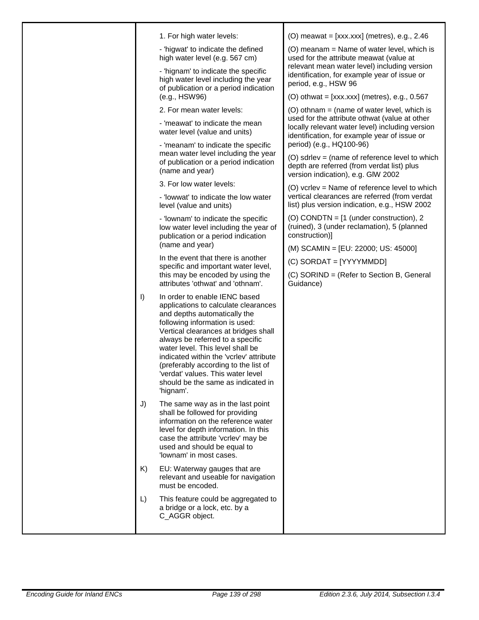|         | 1. For high water levels:                                                                                                                                                                                                                                                                                                                                                                                                          | (O) meawat = $[xxx.xxx]$ (metres), e.g., 2.46                                                                                                                                |
|---------|------------------------------------------------------------------------------------------------------------------------------------------------------------------------------------------------------------------------------------------------------------------------------------------------------------------------------------------------------------------------------------------------------------------------------------|------------------------------------------------------------------------------------------------------------------------------------------------------------------------------|
|         | - 'higwat' to indicate the defined<br>high water level (e.g. 567 cm)<br>- 'hignam' to indicate the specific                                                                                                                                                                                                                                                                                                                        | (O) meanam = Name of water level, which is<br>used for the attribute meawat (value at<br>relevant mean water level) including version                                        |
|         | high water level including the year<br>of publication or a period indication<br>(e.g., HSW96)                                                                                                                                                                                                                                                                                                                                      | identification, for example year of issue or<br>period, e.g., HSW 96                                                                                                         |
|         |                                                                                                                                                                                                                                                                                                                                                                                                                                    | (O) othwat = $[xxx.xxx]$ (metres), e.g., 0.567                                                                                                                               |
|         | 2. For mean water levels:                                                                                                                                                                                                                                                                                                                                                                                                          | (O) othnam = (name of water level, which is                                                                                                                                  |
|         | - 'meawat' to indicate the mean<br>water level (value and units)                                                                                                                                                                                                                                                                                                                                                                   | used for the attribute othwat (value at other<br>locally relevant water level) including version<br>identification, for example year of issue or<br>period) (e.g., HQ100-96) |
|         | - 'meanam' to indicate the specific<br>mean water level including the year<br>of publication or a period indication<br>(name and year)                                                                                                                                                                                                                                                                                             |                                                                                                                                                                              |
|         |                                                                                                                                                                                                                                                                                                                                                                                                                                    | (O) sdrlev = (name of reference level to which<br>depth are referred (from verdat list) plus<br>version indication), e.g. GIW 2002                                           |
|         | 3. For low water levels:                                                                                                                                                                                                                                                                                                                                                                                                           | (O) vcrlev = Name of reference level to which                                                                                                                                |
|         | - 'lowwat' to indicate the low water<br>level (value and units)                                                                                                                                                                                                                                                                                                                                                                    | vertical clearances are referred (from verdat<br>list) plus version indication, e.g., HSW 2002                                                                               |
|         | - 'lownam' to indicate the specific<br>low water level including the year of<br>publication or a period indication                                                                                                                                                                                                                                                                                                                 | (O) CONDTN = $[1$ (under construction), 2<br>(ruined), 3 (under reclamation), 5 (planned<br>construction)]                                                                   |
|         | (name and year)                                                                                                                                                                                                                                                                                                                                                                                                                    | (M) SCAMIN = [EU: 22000; US: 45000]                                                                                                                                          |
|         | In the event that there is another                                                                                                                                                                                                                                                                                                                                                                                                 | (C) SORDAT = [YYYYMMDD]                                                                                                                                                      |
|         | specific and important water level,<br>this may be encoded by using the<br>attributes 'othwat' and 'othnam'.                                                                                                                                                                                                                                                                                                                       | (C) SORIND = (Refer to Section B, General<br>Guidance)                                                                                                                       |
| $\vert$ | In order to enable IENC based<br>applications to calculate clearances<br>and depths automatically the<br>following information is used:<br>Vertical clearances at bridges shall<br>always be referred to a specific<br>water level. This level shall be<br>indicated within the 'vcrlev' attribute<br>(preferably according to the list of<br>'verdat' values. This water level<br>should be the same as indicated in<br>'hignam'. |                                                                                                                                                                              |
| J)      | The same way as in the last point<br>shall be followed for providing<br>information on the reference water<br>level for depth information. In this<br>case the attribute 'vcrlev' may be<br>used and should be equal to<br>'lownam' in most cases.                                                                                                                                                                                 |                                                                                                                                                                              |
| K)      | EU: Waterway gauges that are<br>relevant and useable for navigation<br>must be encoded.                                                                                                                                                                                                                                                                                                                                            |                                                                                                                                                                              |
| L)      | This feature could be aggregated to<br>a bridge or a lock, etc. by a<br>C_AGGR object.                                                                                                                                                                                                                                                                                                                                             |                                                                                                                                                                              |